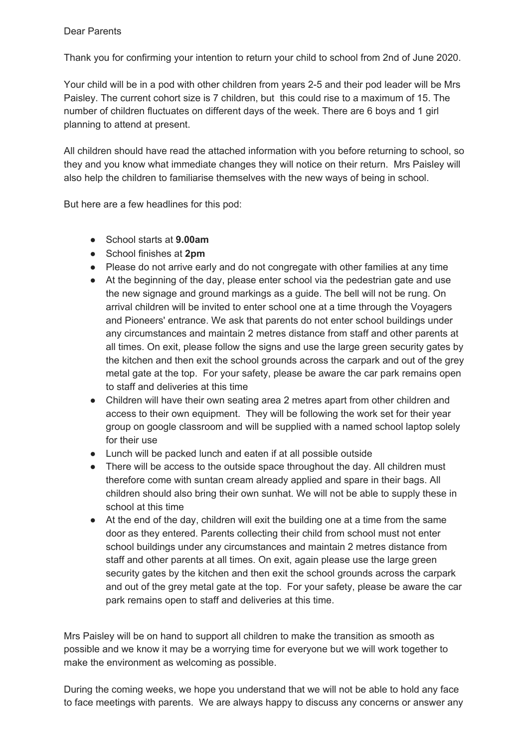## Dear Parents

Thank you for confirming your intention to return your child to school from 2nd of June 2020.

Your child will be in a pod with other children from years 2-5 and their pod leader will be Mrs Paisley. The current cohort size is 7 children, but this could rise to a maximum of 15. The number of children fluctuates on different days of the week. There are 6 boys and 1 girl planning to attend at present.

All children should have read the attached information with you before returning to school, so they and you know what immediate changes they will notice on their return. Mrs Paisley will also help the children to familiarise themselves with the new ways of being in school.

But here are a few headlines for this pod:

- School starts at **9.00am**
- School finishes at **2pm**
- Please do not arrive early and do not congregate with other families at any time
- At the beginning of the day, please enter school via the pedestrian gate and use the new signage and ground markings as a guide. The bell will not be rung. On arrival children will be invited to enter school one at a time through the Voyagers and Pioneers' entrance. We ask that parents do not enter school buildings under any circumstances and maintain 2 metres distance from staff and other parents at all times. On exit, please follow the signs and use the large green security gates by the kitchen and then exit the school grounds across the carpark and out of the grey metal gate at the top. For your safety, please be aware the car park remains open to staff and deliveries at this time
- Children will have their own seating area 2 metres apart from other children and access to their own equipment. They will be following the work set for their year group on google classroom and will be supplied with a named school laptop solely for their use
- Lunch will be packed lunch and eaten if at all possible outside
- There will be access to the outside space throughout the day. All children must therefore come with suntan cream already applied and spare in their bags. All children should also bring their own sunhat. We will not be able to supply these in school at this time
- At the end of the day, children will exit the building one at a time from the same door as they entered. Parents collecting their child from school must not enter school buildings under any circumstances and maintain 2 metres distance from staff and other parents at all times. On exit, again please use the large green security gates by the kitchen and then exit the school grounds across the carpark and out of the grey metal gate at the top. For your safety, please be aware the car park remains open to staff and deliveries at this time.

Mrs Paisley will be on hand to support all children to make the transition as smooth as possible and we know it may be a worrying time for everyone but we will work together to make the environment as welcoming as possible.

During the coming weeks, we hope you understand that we will not be able to hold any face to face meetings with parents. We are always happy to discuss any concerns or answer any